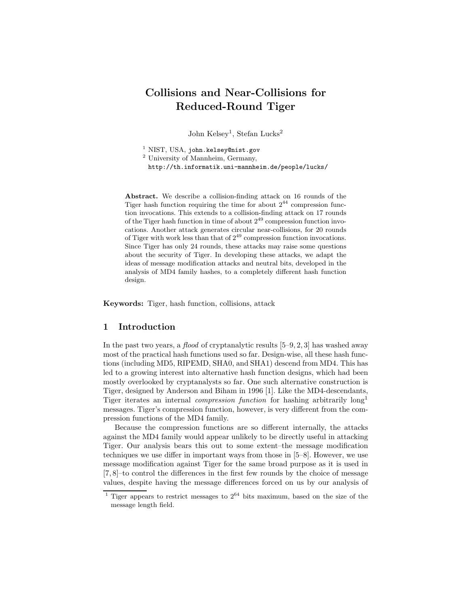# Collisions and Near-Collisions for Reduced-Round Tiger

John Kelsey<sup>1</sup>, Stefan Lucks<sup>2</sup>

<sup>1</sup> NIST, USA, john.kelsey@nist.gov <sup>2</sup> University of Mannheim, Germany, http://th.informatik.uni-mannheim.de/people/lucks/

Abstract. We describe a collision-finding attack on 16 rounds of the Tiger hash function requiring the time for about  $2^{44}$  compression function invocations. This extends to a collision-finding attack on 17 rounds of the Tiger hash function in time of about  $2^{49}$  compression function invocations. Another attack generates circular near-collisions, for 20 rounds of Tiger with work less than that of  $2^{49}$  compression function invocations. Since Tiger has only 24 rounds, these attacks may raise some questions about the security of Tiger. In developing these attacks, we adapt the ideas of message modification attacks and neutral bits, developed in the analysis of MD4 family hashes, to a completely different hash function design.

Keywords: Tiger, hash function, collisions, attack

### 1 Introduction

In the past two years, a *flood* of cryptanalytic results  $[5-9, 2, 3]$  has washed away most of the practical hash functions used so far. Design-wise, all these hash functions (including MD5, RIPEMD, SHA0, and SHA1) descend from MD4. This has led to a growing interest into alternative hash function designs, which had been mostly overlooked by cryptanalysts so far. One such alternative construction is Tiger, designed by Anderson and Biham in 1996 [1]. Like the MD4-descendants, Tiger iterates an internal *compression function* for hashing arbitrarily long<sup>1</sup> messages. Tiger's compression function, however, is very different from the compression functions of the MD4 family.

Because the compression functions are so different internally, the attacks against the MD4 family would appear unlikely to be directly useful in attacking Tiger. Our analysis bears this out to some extent–the message modification techniques we use differ in important ways from those in [5–8]. However, we use message modification against Tiger for the same broad purpose as it is used in [7, 8]–to control the differences in the first few rounds by the choice of message values, despite having the message differences forced on us by our analysis of

 $\frac{1}{1}$  Tiger appears to restrict messages to  $2^{64}$  bits maximum, based on the size of the message length field.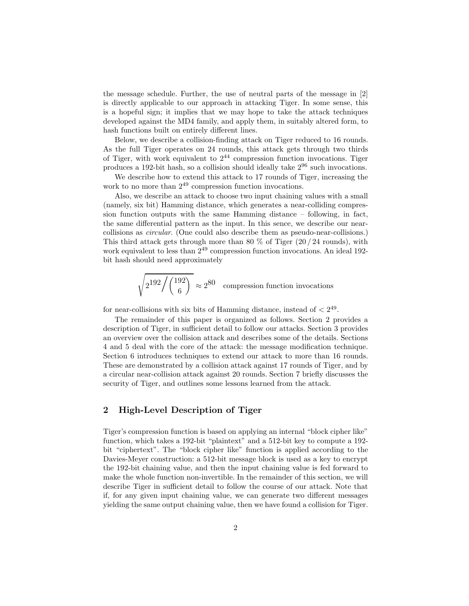the message schedule. Further, the use of neutral parts of the message in [2] is directly applicable to our approach in attacking Tiger. In some sense, this is a hopeful sign; it implies that we may hope to take the attack techniques developed against the MD4 family, and apply them, in suitably altered form, to hash functions built on entirely different lines.

Below, we describe a collision-finding attack on Tiger reduced to 16 rounds. As the full Tiger operates on 24 rounds, this attack gets through two thirds of Tiger, with work equivalent to  $2^{44}$  compression function invocations. Tiger produces a 192-bit hash, so a collision should ideally take 2<sup>96</sup> such invocations.

We describe how to extend this attack to 17 rounds of Tiger, increasing the work to no more than  $2^{49}$  compression function invocations.

Also, we describe an attack to choose two input chaining values with a small (namely, six bit) Hamming distance, which generates a near-colliding compression function outputs with the same Hamming distance – following, in fact, the same differential pattern as the input. In this sence, we describe our nearcollisions as circular. (One could also describe them as pseudo-near-collisions.) This third attack gets through more than 80  $\%$  of Tiger (20/24 rounds), with work equivalent to less than  $2^{49}$  compression function invocations. An ideal 192bit hash should need approximately

$$
\sqrt{2^{192} / \binom{192}{6}} \approx 2^{80}
$$
 compression function invocations

for near-collisions with six bits of Hamming distance, instead of  $\langle 2^{49} \rangle$ .

The remainder of this paper is organized as follows. Section 2 provides a description of Tiger, in sufficient detail to follow our attacks. Section 3 provides an overview over the collision attack and describes some of the details. Sections 4 and 5 deal with the core of the attack: the message modification technique. Section 6 introduces techniques to extend our attack to more than 16 rounds. These are demonstrated by a collision attack against 17 rounds of Tiger, and by a circular near-collision attack against 20 rounds. Section 7 briefly discusses the security of Tiger, and outlines some lessons learned from the attack.

# 2 High-Level Description of Tiger

Tiger's compression function is based on applying an internal "block cipher like" function, which takes a 192-bit "plaintext" and a 512-bit key to compute a 192 bit "ciphertext". The "block cipher like" function is applied according to the Davies-Meyer construction: a 512-bit message block is used as a key to encrypt the 192-bit chaining value, and then the input chaining value is fed forward to make the whole function non-invertible. In the remainder of this section, we will describe Tiger in sufficient detail to follow the course of our attack. Note that if, for any given input chaining value, we can generate two different messages yielding the same output chaining value, then we have found a collision for Tiger.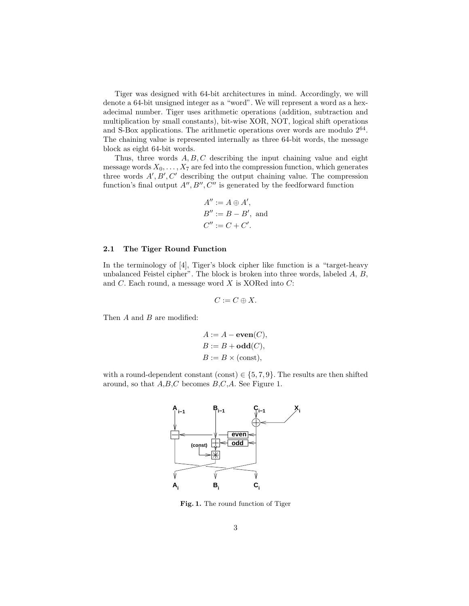Tiger was designed with 64-bit architectures in mind. Accordingly, we will denote a 64-bit unsigned integer as a "word". We will represent a word as a hexadecimal number. Tiger uses arithmetic operations (addition, subtraction and multiplication by small constants), bit-wise XOR, NOT, logical shift operations and S-Box applications. The arithmetic operations over words are modulo  $2^{64}$ . The chaining value is represented internally as three 64-bit words, the message block as eight 64-bit words.

Thus, three words  $A, B, C$  describing the input chaining value and eight message words  $X_0, \ldots, X_7$  are fed into the compression function, which generates three words  $A', B', C'$  describing the output chaining value. The compression function's final output  $A'', B'', C''$  is generated by the feedforward function

$$
A'':= A \oplus A',
$$
  
\n
$$
B'':= B - B',
$$
 and  
\n
$$
C'':= C + C'.
$$

# 2.1 The Tiger Round Function

In the terminology of [4], Tiger's block cipher like function is a "target-heavy unbalanced Feistel cipher". The block is broken into three words, labeled A, B, and  $C$ . Each round, a message word  $X$  is XORed into  $C$ :

$$
C:=C\oplus X.
$$

Then  $A$  and  $B$  are modified:

$$
A := A - \text{even}(C),
$$
  
\n
$$
B := B + \text{odd}(C),
$$
  
\n
$$
B := B \times (\text{const}),
$$

with a round-dependent constant (const)  $\in \{5, 7, 9\}$ . The results are then shifted around, so that  $A, B, C$  becomes  $B, C, A$ . See Figure 1.



Fig. 1. The round function of Tiger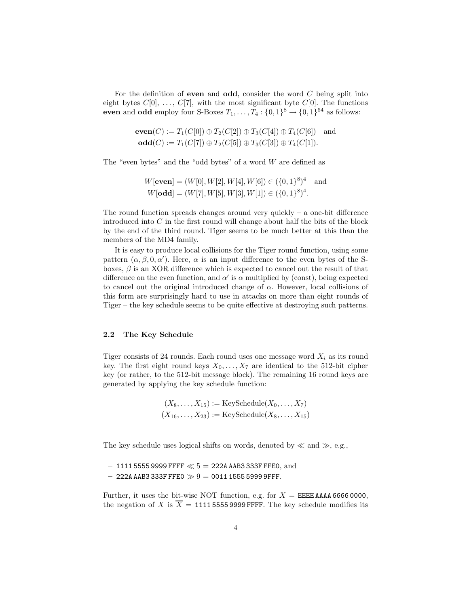For the definition of **even** and **odd**, consider the word  $C$  being split into eight bytes  $C[0], \ldots, C[7],$  with the most significant byte  $C[0].$  The functions even and odd employ four S-Boxes  $T_1, \ldots, T_4 : \{0,1\}^8 \to \{0,1\}^{64}$  as follows:

$$
\mathbf{even}(C) := T_1(C[0]) \oplus T_2(C[2]) \oplus T_3(C[4]) \oplus T_4(C[6]) \text{ and } \mathbf{odd}(C) := T_1(C[7]) \oplus T_2(C[5]) \oplus T_3(C[3]) \oplus T_4(C[1]).
$$

The "even bytes" and the "odd bytes" of a word  $W$  are defined as

$$
W[\text{even}] = (W[0], W[2], W[4], W[6]) \in (\{0, 1\}^8)^4 \text{ and }
$$
  
 
$$
W[\text{odd}] = (W[7], W[5], W[3], W[1]) \in (\{0, 1\}^8)^4.
$$

The round function spreads changes around very quickly  $-$  a one-bit difference introduced into  $C$  in the first round will change about half the bits of the block by the end of the third round. Tiger seems to be much better at this than the members of the MD4 family.

It is easy to produce local collisions for the Tiger round function, using some pattern  $(\alpha, \beta, 0, \alpha')$ . Here,  $\alpha$  is an input difference to the even bytes of the Sboxes,  $\beta$  is an XOR difference which is expected to cancel out the result of that difference on the even function, and  $\alpha'$  is  $\alpha$  multiplied by (const), being expected to cancel out the original introduced change of  $\alpha$ . However, local collisions of this form are surprisingly hard to use in attacks on more than eight rounds of Tiger – the key schedule seems to be quite effective at destroying such patterns.

#### 2.2 The Key Schedule

Tiger consists of 24 rounds. Each round uses one message word  $X_i$  as its round key. The first eight round keys  $X_0, \ldots, X_7$  are identical to the 512-bit cipher key (or rather, to the 512-bit message block). The remaining 16 round keys are generated by applying the key schedule function:

$$
(X_8, \ldots, X_{15}) := \text{KeyScheduling}(X_0, \ldots, X_7)
$$

$$
(X_{16}, \ldots, X_{23}) := \text{KeyScheduling}(X_8, \ldots, X_{15})
$$

The key schedule uses logical shifts on words, denoted by  $\ll$  and  $\gg$ , e.g.,

 $-1111$  5555 9999 FFFF  $\ll 5 = 222$ A AAB3 333F FFE0, and  $-222A$  AAB3 333F FFE0  $\gg 9 = 0011$  1555 5999 9FFF.

Further, it uses the bit-wise NOT function, e.g. for  $X = \text{EEE AAAA}$  6666 0000, the negation of X is  $\overline{X} = 111155559999$  FFFF. The key schedule modifies its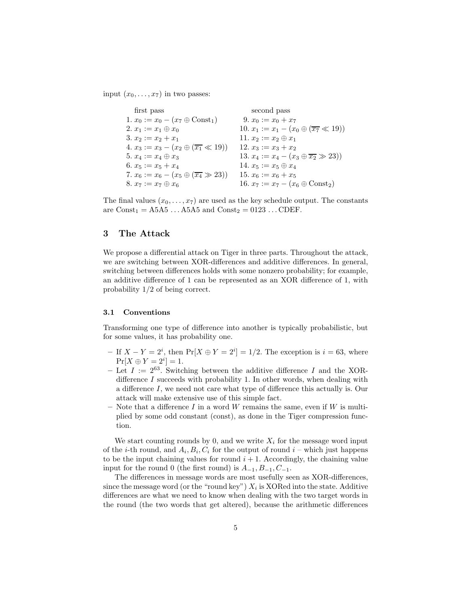input  $(x_0, \ldots, x_7)$  in two passes:

```
first pass second pass
1. x_0 := x_0 - (x_7 \oplus \text{Const}_1) 9. x_0 := x_0 + x_72. x_1 := x_1 \oplus x_0 10. x_1 := x_1 - (x_0 \oplus (\overline{x_7} \ll 19))3. x_2 := x_2 + x_1<br>
4. x_3 := x_3 - (x_2 \oplus (\overline{x_1} \ll 19))<br>
11. x_2 := x_2 \oplus x_1<br>
12. x_3 := x_3 + x_24. x_3 := x_3 - (x_2 \oplus (\overline{x_1} \ll 19))5. x_4 := x_4 \oplus x_3 13. x_4 := x_4 - (x_3 \oplus \overline{x_2} \gg 23)6. x_5 := x_5 + x_4 14. x_5 := x_5 \oplus x_47. x_6 := x_6 - (x_5 \oplus (\overline{x_4} \gg 23)) 15. x_6 := x_6 + x_58. x_7 := x_7 \oplus x_6 16. x_7 := x_7 - (x_6 \oplus \text{Const}_2)
```
The final values  $(x_0, \ldots, x_7)$  are used as the key schedule output. The constants are  $Const_1 = A5A5 \dots A5A5$  and  $Const_2 = 0123 \dots CDEF$ .

# 3 The Attack

We propose a differential attack on Tiger in three parts. Throughout the attack, we are switching between XOR-differences and additive differences. In general, switching between differences holds with some nonzero probability; for example, an additive difference of 1 can be represented as an XOR difference of 1, with probability 1/2 of being correct.

### 3.1 Conventions

Transforming one type of difference into another is typically probabilistic, but for some values, it has probability one.

- − If  $X Y = 2<sup>i</sup>$ , then Pr[ $X \oplus Y = 2<sup>i</sup>$ ] = 1/2. The exception is  $i = 63$ , where  $Pr[X \oplus Y = 2^i] = 1.$
- Let  $I := 2^{63}$ . Switching between the additive difference I and the XORdifference I succeeds with probability 1. In other words, when dealing with a difference I, we need not care what type of difference this actually is. Our attack will make extensive use of this simple fact.
- Note that a difference  $I$  in a word  $W$  remains the same, even if  $W$  is multiplied by some odd constant (const), as done in the Tiger compression function.

We start counting rounds by 0, and we write  $X_i$  for the message word input of the *i*-th round, and  $A_i, B_i, C_i$  for the output of round  $i$  – which just happens to be the input chaining values for round  $i + 1$ . Accordingly, the chaining value input for the round 0 (the first round) is  $A_{-1}, B_{-1}, C_{-1}$ .

The differences in message words are most usefully seen as XOR-differences, since the message word (or the "round key")  $X_i$  is XORed into the state. Additive differences are what we need to know when dealing with the two target words in the round (the two words that get altered), because the arithmetic differences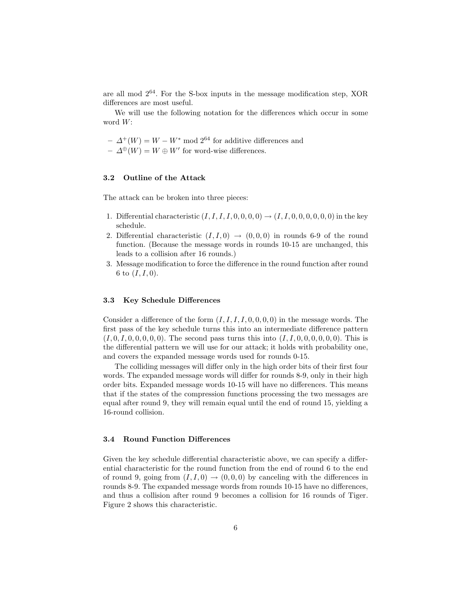are all mod 264. For the S-box inputs in the message modification step, XOR differences are most useful.

We will use the following notation for the differences which occur in some word W:

 $- \Delta^+(W) = W - W^* \mod 2^{64}$  for additive differences and

 $- \Delta^{\oplus}(W) = W \oplus W'$  for word-wise differences.

### 3.2 Outline of the Attack

The attack can be broken into three pieces:

- 1. Differential characteristic  $(I, I, I, I, 0, 0, 0, 0) \rightarrow (I, I, 0, 0, 0, 0, 0, 0)$  in the key schedule.
- 2. Differential characteristic  $(I, I, 0) \rightarrow (0, 0, 0)$  in rounds 6-9 of the round function. (Because the message words in rounds 10-15 are unchanged, this leads to a collision after 16 rounds.)
- 3. Message modification to force the difference in the round function after round 6 to  $(I, I, 0)$ .

#### 3.3 Key Schedule Differences

Consider a difference of the form  $(I, I, I, I, 0, 0, 0, 0)$  in the message words. The first pass of the key schedule turns this into an intermediate difference pattern  $(I, 0, I, 0, 0, 0, 0, 0)$ . The second pass turns this into  $(I, I, 0, 0, 0, 0, 0, 0)$ . This is the differential pattern we will use for our attack; it holds with probability one, and covers the expanded message words used for rounds 0-15.

The colliding messages will differ only in the high order bits of their first four words. The expanded message words will differ for rounds 8-9, only in their high order bits. Expanded message words 10-15 will have no differences. This means that if the states of the compression functions processing the two messages are equal after round 9, they will remain equal until the end of round 15, yielding a 16-round collision.

### 3.4 Round Function Differences

Given the key schedule differential characteristic above, we can specify a differential characteristic for the round function from the end of round 6 to the end of round 9, going from  $(I, I, 0) \rightarrow (0, 0, 0)$  by canceling with the differences in rounds 8-9. The expanded message words from rounds 10-15 have no differences, and thus a collision after round 9 becomes a collision for 16 rounds of Tiger. Figure 2 shows this characteristic.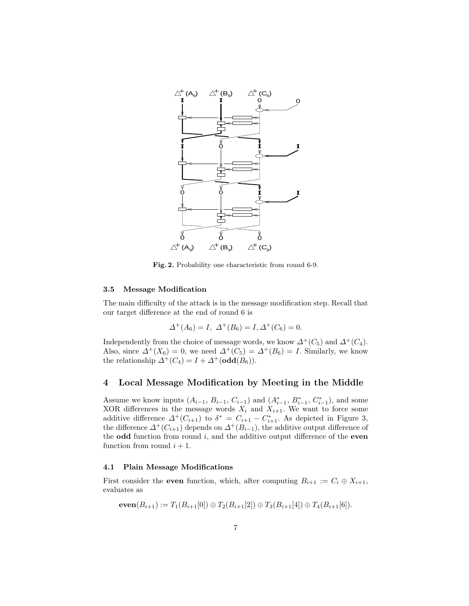

Fig. 2. Probability one characteristic from round 6-9.

### 3.5 Message Modification

The main difficulty of the attack is in the message modification step. Recall that our target difference at the end of round 6 is

$$
\Delta^+(A_6) = I, \ \Delta^+(B_6) = I, \Delta^+(C_6) = 0.
$$

Independently from the choice of message words, we know  $\Delta^+(C_5)$  and  $\Delta^+(C_4)$ . Also, since  $\Delta^+(X_6) = 0$ , we need  $\Delta^+(C_5) = \Delta^+(B_6) = I$ . Similarly, we know the relationship  $\Delta^+(C_4) = I + \Delta^+(\text{odd}(B_6)).$ 

# 4 Local Message Modification by Meeting in the Middle

Assume we know inputs  $(A_{i-1}, B_{i-1}, C_{i-1})$  and  $(A_{i-1}^*, B_{i-1}^*, C_{i-1}^*)$ , and some XOR differences in the message words  $X_i$  and  $X_{i+1}$ . We want to force some additive difference  $\Delta^+(C_{i+1})$  to  $\delta^* = C_{i+1} - C_{i+1}^*$ . As depicted in Figure 3, the difference  $\Delta^+(C_{i+1})$  depends on  $\Delta^+(B_{i-1})$ , the additive output difference of the **odd** function from round  $i$ , and the additive output difference of the **even** function from round  $i + 1$ .

### 4.1 Plain Message Modifications

First consider the **even** function, which, after computing  $B_{i+1} := C_i \oplus X_{i+1}$ , evaluates as

$$
\mathbf{even}(B_{i+1}) := T_1(B_{i+1}[0]) \oplus T_2(B_{i+1}[2]) \oplus T_3(B_{i+1}[4]) \oplus T_4(B_{i+1}[6]).
$$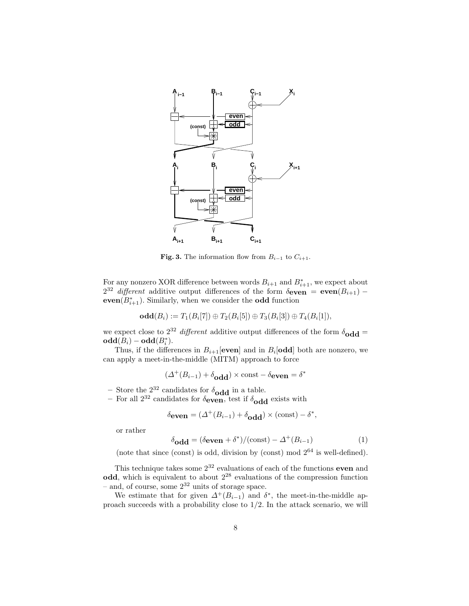

Fig. 3. The information flow from  $B_{i-1}$  to  $C_{i+1}$ .

For any nonzero XOR difference between words  $B_{i+1}$  and  $B_{i+1}^*$ , we expect about  $2^{32}$  different additive output differences of the form  $\delta_{\text{even}} = \text{even}(B_{i+1})$  $even(B_{i+1}^*)$ . Similarly, when we consider the **odd** function

$$
\mathbf{odd}(B_i) := T_1(B_i[7]) \oplus T_2(B_i[5]) \oplus T_3(B_i[3]) \oplus T_4(B_i[1]),
$$

we expect close to  $2^{32}$  different additive output differences of the form  $\delta_{\text{odd}} =$  $\textbf{odd}(B_i) - \textbf{odd}(B_i^*).$ 

Thus, if the differences in  $B_{i+1}$ [even] and in  $B_i$ [odd] both are nonzero, we can apply a meet-in-the-middle (MITM) approach to force

$$
(\Delta^+(B_{i-1}) + \delta_{\mathbf{odd}}) \times \text{const} - \delta_{\mathbf{even}} = \delta^*
$$

- Store the  $2^{32}$  candidates for  $\delta_{\text{odd}}$  in a table.
- For all  $2^{32}$  candidates for  $\delta$ **even**, test if  $\delta$ **odd** exists with

$$
\delta_{\mathbf{even}} = (\Delta^+(B_{i-1}) + \delta_{\mathbf{odd}}) \times (\text{const}) - \delta^*,
$$

or rather

$$
\delta_{\text{odd}} = (\delta_{\text{even}} + \delta^*)/(\text{const}) - \Delta^+(B_{i-1})
$$
\n(1)

(note that since (const) is odd, division by (const) mod  $2^{64}$  is well-defined).

This technique takes some  $2^{32}$  evaluations of each of the functions even and odd, which is equivalent to about  $2^{28}$  evaluations of the compression function – and, of course, some  $2^{32}$  units of storage space.

We estimate that for given  $\Delta^+(B_{i-1})$  and  $\delta^*$ , the meet-in-the-middle approach succeeds with a probability close to 1/2. In the attack scenario, we will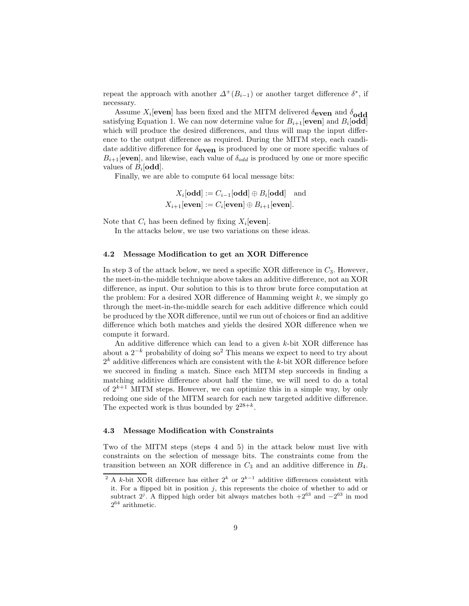repeat the approach with another  $\Delta^+(B_{i-1})$  or another target difference  $\delta^*$ , if necessary.

Assume  $X_i$  [even] has been fixed and the MITM delivered  $\delta$  even and  $\delta$  odd satisfying Equation 1. We can now determine value for  $B_{i+1}[\text{even}]$  and  $B_i[\text{odd}]$ which will produce the desired differences, and thus will map the input difference to the output difference as required. During the MITM step, each candidate additive difference for  $\delta_{\rm even}$  is produced by one or more specific values of  $B_{i+1}$ [even], and likewise, each value of  $\delta_{odd}$  is produced by one or more specific values of  $B_i[\textbf{odd}]$ .

Finally, we are able to compute 64 local message bits:

$$
X_i[\textbf{odd}] := C_{i-1}[\textbf{odd}] \oplus B_i[\textbf{odd}] \text{ and}
$$

$$
X_{i+1}[\textbf{even}] := C_i[\textbf{even}] \oplus B_{i+1}[\textbf{even}].
$$

Note that  $C_i$  has been defined by fixing  $X_i[\text{even}].$ 

In the attacks below, we use two variations on these ideas.

### 4.2 Message Modification to get an XOR Difference

In step 3 of the attack below, we need a specific XOR difference in  $C_3$ . However, the meet-in-the-middle technique above takes an additive difference, not an XOR difference, as input. Our solution to this is to throw brute force computation at the problem: For a desired XOR difference of Hamming weight  $k$ , we simply go through the meet-in-the-middle search for each additive difference which could be produced by the XOR difference, until we run out of choices or find an additive difference which both matches and yields the desired XOR difference when we compute it forward.

An additive difference which can lead to a given  $k$ -bit XOR difference has about a  $2^{-k}$  probability of doing so<sup>2</sup> This means we expect to need to try about  $2<sup>k</sup>$  additive differences which are consistent with the k-bit XOR difference before we succeed in finding a match. Since each MITM step succeeds in finding a matching additive difference about half the time, we will need to do a total of  $2^{k+1}$  MITM steps. However, we can optimize this in a simple way, by only redoing one side of the MITM search for each new targeted additive difference. The expected work is thus bounded by  $2^{28+k}$ .

#### 4.3 Message Modification with Constraints

Two of the MITM steps (steps 4 and 5) in the attack below must live with constraints on the selection of message bits. The constraints come from the transition between an XOR difference in  $C_3$  and an additive difference in  $B_4$ .

<sup>&</sup>lt;sup>2</sup> A k-bit XOR difference has either  $2<sup>k</sup>$  or  $2<sup>k-1</sup>$  additive differences consistent with it. For a flipped bit in position  $j$ , this represents the choice of whether to add or subtract  $2^{j}$ . A flipped high order bit always matches both  $+2^{63}$  and  $-2^{63}$  in mod  $2^{64}$  arithmetic.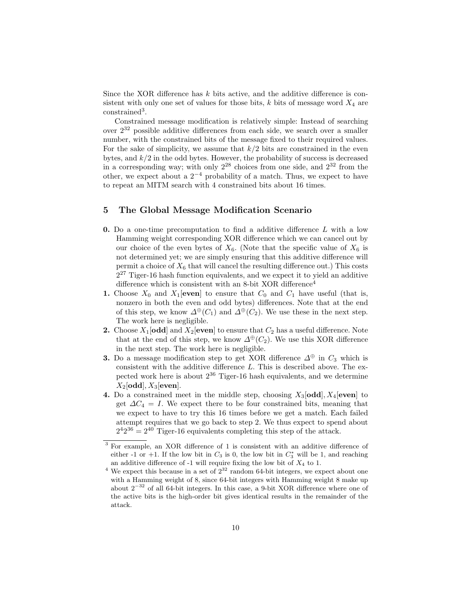Since the XOR difference has  $k$  bits active, and the additive difference is consistent with only one set of values for those bits,  $k$  bits of message word  $X_4$  are constrained<sup>3</sup>.

Constrained message modification is relatively simple: Instead of searching over 2<sup>32</sup> possible additive differences from each side, we search over a smaller number, with the constrained bits of the message fixed to their required values. For the sake of simplicity, we assume that  $k/2$  bits are constrained in the even bytes, and  $k/2$  in the odd bytes. However, the probability of success is decreased in a corresponding way; with only  $2^{28}$  choices from one side, and  $2^{32}$  from the other, we expect about a  $2^{-4}$  probability of a match. Thus, we expect to have to repeat an MITM search with 4 constrained bits about 16 times.

# 5 The Global Message Modification Scenario

- 0. Do a one-time precomputation to find a additive difference L with a low Hamming weight corresponding XOR difference which we can cancel out by our choice of the even bytes of  $X_6$ . (Note that the specific value of  $X_6$  is not determined yet; we are simply ensuring that this additive difference will permit a choice of  $X_6$  that will cancel the resulting difference out.) This costs  $2^{27}$  Tiger-16 hash function equivalents, and we expect it to yield an additive difference which is consistent with an 8-bit XOR difference<sup>4</sup>
- 1. Choose  $X_0$  and  $X_1$ [even] to ensure that  $C_0$  and  $C_1$  have useful (that is, nonzero in both the even and odd bytes) differences. Note that at the end of this step, we know  $\Delta^{\oplus}(C_1)$  and  $\Delta^{\oplus}(C_2)$ . We use these in the next step. The work here is negligible.
- **2.** Choose  $X_1[\text{odd}]$  and  $X_2[\text{even}]$  to ensure that  $C_2$  has a useful difference. Note that at the end of this step, we know  $\Delta^{\oplus}(C_2)$ . We use this XOR difference in the next step. The work here is negligible.
- **3.** Do a message modification step to get XOR difference  $\Delta^{\oplus}$  in  $C_3$  which is consistent with the additive difference L. This is described above. The expected work here is about  $2^{36}$  Tiger-16 hash equivalents, and we determine  $X_2[odd], X_3[even].$
- 4. Do a constrained meet in the middle step, choosing  $X_3[\text{odd}], X_4[\text{even}]$  to get  $\Delta C_4 = I$ . We expect there to be four constrained bits, meaning that we expect to have to try this 16 times before we get a match. Each failed attempt requires that we go back to step 2. We thus expect to spend about  $2^{4}2^{36} = 2^{40}$  Tiger-16 equivalents completing this step of the attack.

<sup>3</sup> For example, an XOR difference of 1 is consistent with an additive difference of either -1 or +1. If the low bit in  $C_3$  is 0, the low bit in  $C_3^*$  will be 1, and reaching an additive difference of -1 will require fixing the low bit of  $X_4$  to 1.

<sup>&</sup>lt;sup>4</sup> We expect this because in a set of  $2^{32}$  random 64-bit integers, we expect about one with a Hamming weight of 8, since 64-bit integers with Hamming weight 8 make up about 2<sup>−</sup><sup>32</sup> of all 64-bit integers. In this case, a 9-bit XOR difference where one of the active bits is the high-order bit gives identical results in the remainder of the attack.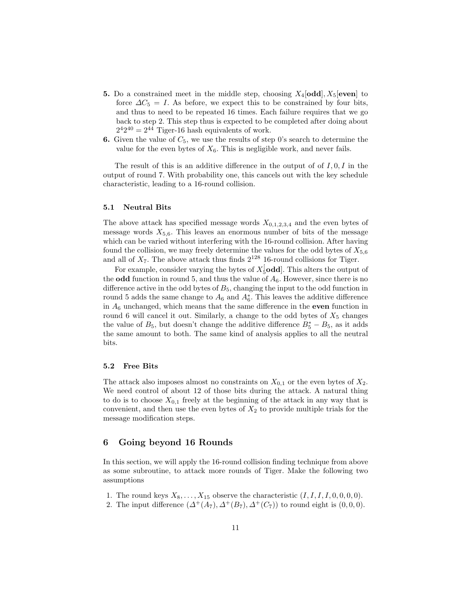- **5.** Do a constrained meet in the middle step, choosing  $X_4[\text{odd}], X_5[\text{even}]$  to force  $\Delta C_5 = I$ . As before, we expect this to be constrained by four bits, and thus to need to be repeated 16 times. Each failure requires that we go back to step 2. This step thus is expected to be completed after doing about  $2<sup>4</sup>2<sup>40</sup> = 2<sup>44</sup>$  Tiger-16 hash equivalents of work.
- 6. Given the value of  $C_5$ , we use the results of step 0's search to determine the value for the even bytes of  $X_6$ . This is negligible work, and never fails.

The result of this is an additive difference in the output of of  $I, 0, I$  in the output of round 7. With probability one, this cancels out with the key schedule characteristic, leading to a 16-round collision.

#### 5.1 Neutral Bits

The above attack has specified message words  $X_{0,1,2,3,4}$  and the even bytes of message words  $X_{5,6}$ . This leaves an enormous number of bits of the message which can be varied without interfering with the 16-round collision. After having found the collision, we may freely determine the values for the odd bytes of  $X_{5,6}$ and all of  $X_7$ . The above attack thus finds  $2^{128}$  16-round collisions for Tiger.

For example, consider varying the bytes of  $X_5^[\text{odd}]$ . This alters the output of the **odd** function in round 5, and thus the value of  $A_6$ . However, since there is no difference active in the odd bytes of  $B_5$ , changing the input to the odd function in round 5 adds the same change to  $A_6$  and  $A_6^*$ . This leaves the additive difference in  $A_6$  unchanged, which means that the same difference in the even function in round 6 will cancel it out. Similarly, a change to the odd bytes of  $X_5$  changes the value of  $B_5$ , but doesn't change the additive difference  $B_5^* - B_5$ , as it adds the same amount to both. The same kind of analysis applies to all the neutral bits.

### 5.2 Free Bits

The attack also imposes almost no constraints on  $X_{0,1}$  or the even bytes of  $X_2$ . We need control of about 12 of those bits during the attack. A natural thing to do is to choose  $X_{0,1}$  freely at the beginning of the attack in any way that is convenient, and then use the even bytes of  $X_2$  to provide multiple trials for the message modification steps.

# 6 Going beyond 16 Rounds

In this section, we will apply the 16-round collision finding technique from above as some subroutine, to attack more rounds of Tiger. Make the following two assumptions

- 1. The round keys  $X_8, \ldots, X_{15}$  observe the characteristic  $(I, I, I, I, 0, 0, 0, 0)$ .
- 2. The input difference  $(\Delta^+(A_7), \Delta^+(B_7), \Delta^+(C_7))$  to round eight is  $(0,0,0)$ .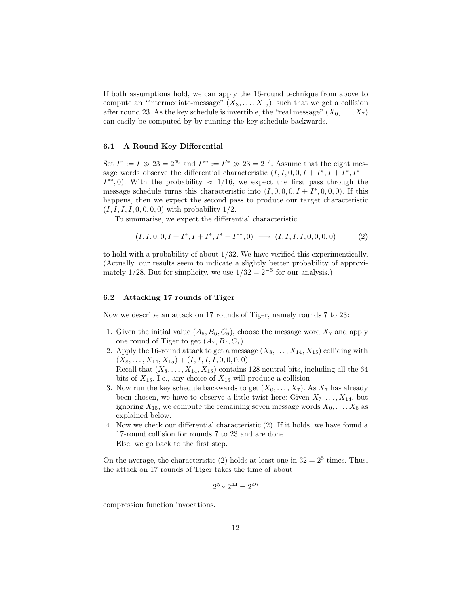If both assumptions hold, we can apply the 16-round technique from above to compute an "intermediate-message"  $(X_8, \ldots, X_{15})$ , such that we get a collision after round 23. As the key schedule is invertible, the "real message"  $(X_0, \ldots, X_7)$ can easily be computed by by running the key schedule backwards.

### 6.1 A Round Key Differential

Set  $I^* := I \gg 23 = 2^{40}$  and  $I^{**} := I'^* \gg 23 = 2^{17}$ . Assume that the eight message words observe the differential characteristic  $(I, I, 0, 0, I + I^*, I + I^*, I^* + I^*$  $I^{**}$ , 0). With the probability  $\approx 1/16$ , we expect the first pass through the message schedule turns this characteristic into  $(I, 0, 0, 0, I + I^*, 0, 0, 0)$ . If this happens, then we expect the second pass to produce our target characteristic  $(I, I, I, I, 0, 0, 0, 0)$  with probability  $1/2$ .

To summarise, we expect the differential characteristic

$$
(I, I, 0, 0, I + I^*, I + I^*, I^* + I^{**}, 0) \longrightarrow (I, I, I, I, 0, 0, 0, 0)
$$
 (2)

to hold with a probability of about 1/32. We have verified this experimentically. (Actually, our results seem to indicate a slightly better probability of approximately 1/28. But for simplicity, we use  $1/32 = 2^{-5}$  for our analysis.)

### 6.2 Attacking 17 rounds of Tiger

Now we describe an attack on 17 rounds of Tiger, namely rounds 7 to 23:

- 1. Given the initial value  $(A_6, B_6, C_6)$ , choose the message word  $X_7$  and apply one round of Tiger to get  $(A_7, B_7, C_7)$ .
- 2. Apply the 16-round attack to get a message  $(X_8, \ldots, X_{14}, X_{15})$  colliding with  $(X_8, \ldots, X_{14}, X_{15}) + (I, I, I, I, 0, 0, 0, 0).$ Recall that  $(X_8, \ldots, X_{14}, X_{15})$  contains 128 neutral bits, including all the 64 bits of  $X_{15}$ . I.e., any choice of  $X_{15}$  will produce a collision.
- 3. Now run the key schedule backwards to get  $(X_0, \ldots, X_7)$ . As  $X_7$  has already been chosen, we have to observe a little twist here: Given  $X_7, \ldots, X_{14}$ , but ignoring  $X_{15}$ , we compute the remaining seven message words  $X_0, \ldots, X_6$  as explained below.
- 4. Now we check our differential characteristic (2). If it holds, we have found a 17-round collision for rounds 7 to 23 and are done. Else, we go back to the first step.

On the average, the characteristic (2) holds at least one in  $32 = 2^5$  times. Thus, the attack on 17 rounds of Tiger takes the time of about

$$
2^5 \times 2^{44} = 2^{49}
$$

compression function invocations.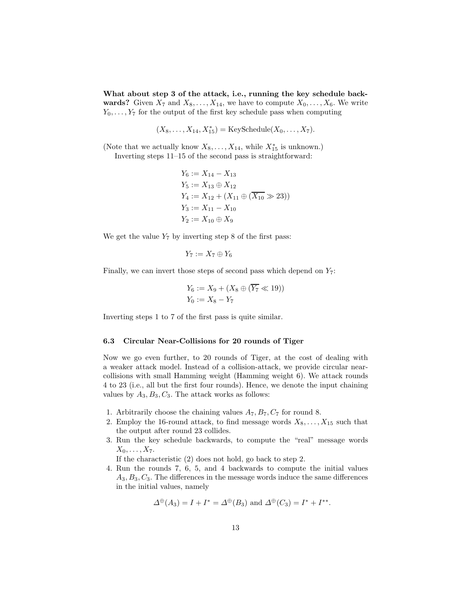What about step 3 of the attack, i.e., running the key schedule back**wards?** Given  $X_7$  and  $X_8, \ldots, X_{14}$ , we have to compute  $X_0, \ldots, X_6$ . We write  $Y_0, \ldots, Y_7$  for the output of the first key schedule pass when computing

 $(X_8, \ldots, X_{14}, X_{15}^*) = \text{KeySchedule}(X_0, \ldots, X_7).$ 

(Note that we actually know  $X_8, \ldots, X_{14}$ , while  $X_{15}^*$  is unknown.)

Inverting steps 11–15 of the second pass is straightforward:

$$
Y_6 := X_{14} - X_{13}
$$
  
\n
$$
Y_5 := X_{13} \oplus X_{12}
$$
  
\n
$$
Y_4 := X_{12} + (X_{11} \oplus (\overline{X_{10}} \gg 23))
$$
  
\n
$$
Y_3 := X_{11} - X_{10}
$$
  
\n
$$
Y_2 := X_{10} \oplus X_9
$$

We get the value  $Y_7$  by inverting step 8 of the first pass:

$$
Y_7:=X_7\oplus Y_6
$$

Finally, we can invert those steps of second pass which depend on  $Y_7$ :

$$
Y_6 := X_9 + (X_8 \oplus (\overline{Y_7} \ll 19))
$$
  

$$
Y_0 := X_8 - Y_7
$$

Inverting steps 1 to 7 of the first pass is quite similar.

#### 6.3 Circular Near-Collisions for 20 rounds of Tiger

Now we go even further, to 20 rounds of Tiger, at the cost of dealing with a weaker attack model. Instead of a collision-attack, we provide circular nearcollisions with small Hamming weight (Hamming weight 6). We attack rounds 4 to 23 (i.e., all but the first four rounds). Hence, we denote the input chaining values by  $A_3, B_3, C_3$ . The attack works as follows:

- 1. Arbitrarily choose the chaining values  $A_7, B_7, C_7$  for round 8.
- 2. Employ the 16-round attack, to find message words  $X_8, \ldots, X_{15}$  such that the output after round 23 collides.
- 3. Run the key schedule backwards, to compute the "real" message words  $X_0, \ldots, X_7$ .

If the characteristic (2) does not hold, go back to step 2.

4. Run the rounds 7, 6, 5, and 4 backwards to compute the initial values  $A_3, B_3, C_3$ . The differences in the message words induce the same differences in the initial values, namely

$$
\Delta^{\oplus}(A_3) = I + I^* = \Delta^{\oplus}(B_3) \text{ and } \Delta^{\oplus}(C_3) = I^* + I^{**}.
$$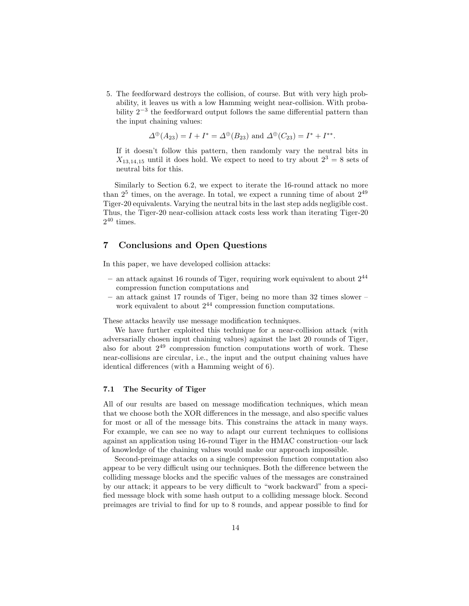5. The feedforward destroys the collision, of course. But with very high probability, it leaves us with a low Hamming weight near-collision. With probability 2−<sup>3</sup> the feedforward output follows the same differential pattern than the input chaining values:

$$
\Delta^{\oplus}(A_{23}) = I + I^* = \Delta^{\oplus}(B_{23})
$$
 and  $\Delta^{\oplus}(C_{23}) = I^* + I^{**}$ .

If it doesn't follow this pattern, then randomly vary the neutral bits in  $X_{13,14,15}$  until it does hold. We expect to need to try about  $2^3 = 8$  sets of neutral bits for this.

Similarly to Section 6.2, we expect to iterate the 16-round attack no more than  $2^5$  times, on the average. In total, we expect a running time of about  $2^{49}$ Tiger-20 equivalents. Varying the neutral bits in the last step adds negligible cost. Thus, the Tiger-20 near-collision attack costs less work than iterating Tiger-20  $2^{40}$  times.

# 7 Conclusions and Open Questions

In this paper, we have developed collision attacks:

- an attack against 16 rounds of Tiger, requiring work equivalent to about  $2^{44}$ compression function computations and
- an attack gainst 17 rounds of Tiger, being no more than 32 times slower work equivalent to about  $2^{44}$  compression function computations.

These attacks heavily use message modification techniques.

We have further exploited this technique for a near-collision attack (with adversarially chosen input chaining values) against the last 20 rounds of Tiger, also for about  $2^{49}$  compression function computations worth of work. These near-collisions are circular, i.e., the input and the output chaining values have identical differences (with a Hamming weight of 6).

#### 7.1 The Security of Tiger

All of our results are based on message modification techniques, which mean that we choose both the XOR differences in the message, and also specific values for most or all of the message bits. This constrains the attack in many ways. For example, we can see no way to adapt our current techniques to collisions against an application using 16-round Tiger in the HMAC construction–our lack of knowledge of the chaining values would make our approach impossible.

Second-preimage attacks on a single compression function computation also appear to be very difficult using our techniques. Both the difference between the colliding message blocks and the specific values of the messages are constrained by our attack; it appears to be very difficult to "work backward" from a specified message block with some hash output to a colliding message block. Second preimages are trivial to find for up to 8 rounds, and appear possible to find for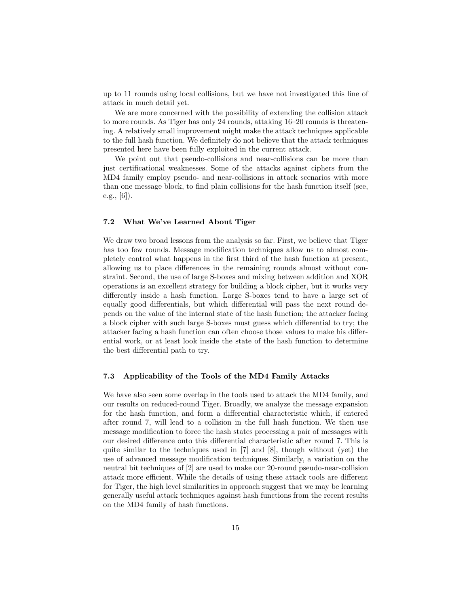up to 11 rounds using local collisions, but we have not investigated this line of attack in much detail yet.

We are more concerned with the possibility of extending the collision attack to more rounds. As Tiger has only 24 rounds, attaking 16–20 rounds is threatening. A relatively small improvement might make the attack techniques applicable to the full hash function. We definitely do not believe that the attack techniques presented here have been fully exploited in the current attack.

We point out that pseudo-collisions and near-collisions can be more than just certificational weaknesses. Some of the attacks against ciphers from the MD4 family employ pseudo- and near-collisions in attack scenarios with more than one message block, to find plain collisions for the hash function itself (see, e.g.,  $[6]$ ).

### 7.2 What We've Learned About Tiger

We draw two broad lessons from the analysis so far. First, we believe that Tiger has too few rounds. Message modification techniques allow us to almost completely control what happens in the first third of the hash function at present, allowing us to place differences in the remaining rounds almost without constraint. Second, the use of large S-boxes and mixing between addition and XOR operations is an excellent strategy for building a block cipher, but it works very differently inside a hash function. Large S-boxes tend to have a large set of equally good differentials, but which differential will pass the next round depends on the value of the internal state of the hash function; the attacker facing a block cipher with such large S-boxes must guess which differential to try; the attacker facing a hash function can often choose those values to make his differential work, or at least look inside the state of the hash function to determine the best differential path to try.

### 7.3 Applicability of the Tools of the MD4 Family Attacks

We have also seen some overlap in the tools used to attack the MD4 family, and our results on reduced-round Tiger. Broadly, we analyze the message expansion for the hash function, and form a differential characteristic which, if entered after round 7, will lead to a collision in the full hash function. We then use message modification to force the hash states processing a pair of messages with our desired difference onto this differential characteristic after round 7. This is quite similar to the techniques used in [7] and [8], though without (yet) the use of advanced message modification techniques. Similarly, a variation on the neutral bit techniques of [2] are used to make our 20-round pseudo-near-collision attack more efficient. While the details of using these attack tools are different for Tiger, the high level similarities in approach suggest that we may be learning generally useful attack techniques against hash functions from the recent results on the MD4 family of hash functions.